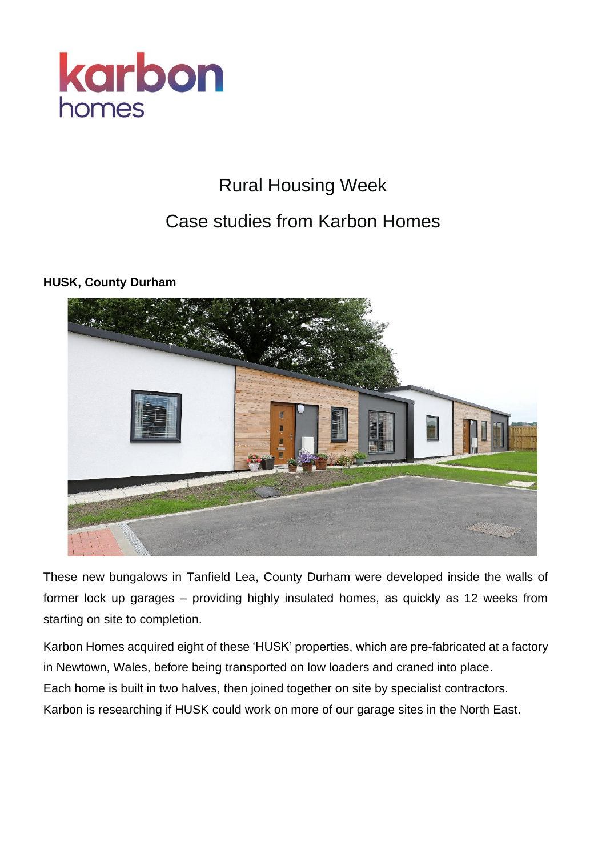

# Rural Housing Week

## Case studies from Karbon Homes

## **HUSK, County Durham**



These new bungalows in Tanfield Lea, County Durham were developed inside the walls of former lock up garages – providing highly insulated homes, as quickly as 12 weeks from starting on site to completion.

Karbon Homes acquired eight of these 'HUSK' properties, which are pre-fabricated at a factory in Newtown, Wales, before being transported on low loaders and craned into place. Each home is built in two halves, then joined together on site by specialist contractors. Karbon is researching if HUSK could work on more of our garage sites in the North East.